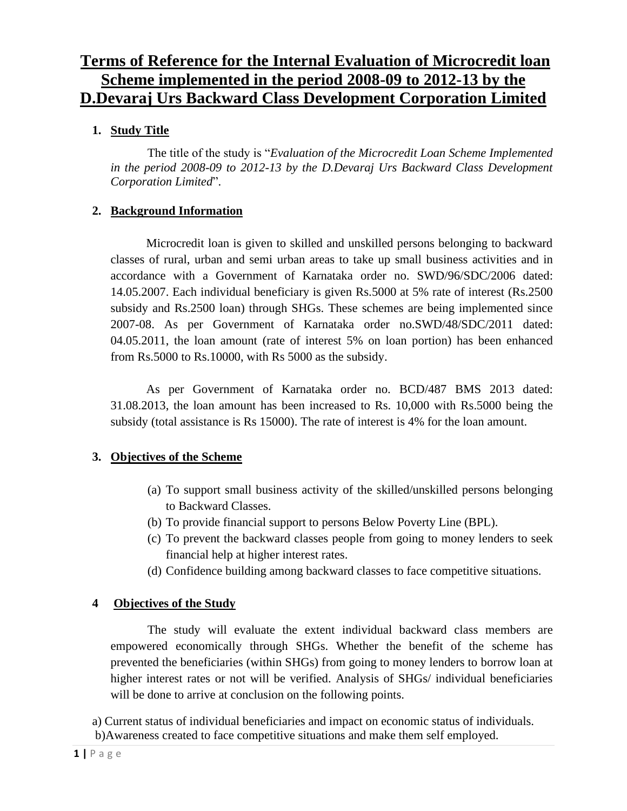# **Terms of Reference for the Internal Evaluation of Microcredit loan Scheme implemented in the period 2008-09 to 2012-13 by the D.Devaraj Urs Backward Class Development Corporation Limited**

### **1. Study Title**

The title of the study is "*Evaluation of the Microcredit Loan Scheme Implemented in the period 2008-09 to 2012-13 by the D.Devaraj Urs Backward Class Development Corporation Limited*".

### **2. Background Information**

Microcredit loan is given to skilled and unskilled persons belonging to backward classes of rural, urban and semi urban areas to take up small business activities and in accordance with a Government of Karnataka order no. SWD/96/SDC/2006 dated: 14.05.2007. Each individual beneficiary is given Rs.5000 at 5% rate of interest (Rs.2500 subsidy and Rs.2500 loan) through SHGs. These schemes are being implemented since 2007-08. As per Government of Karnataka order no.SWD/48/SDC/2011 dated: 04.05.2011, the loan amount (rate of interest 5% on loan portion) has been enhanced from Rs.5000 to Rs.10000, with Rs 5000 as the subsidy.

As per Government of Karnataka order no. BCD/487 BMS 2013 dated: 31.08.2013, the loan amount has been increased to Rs. 10,000 with Rs.5000 being the subsidy (total assistance is Rs 15000). The rate of interest is 4% for the loan amount.

### **3. Objectives of the Scheme**

- (a) To support small business activity of the skilled/unskilled persons belonging to Backward Classes.
- (b) To provide financial support to persons Below Poverty Line (BPL).
- (c) To prevent the backward classes people from going to money lenders to seek financial help at higher interest rates.
- (d) Confidence building among backward classes to face competitive situations.

# **4 Objectives of the Study**

The study will evaluate the extent individual backward class members are empowered economically through SHGs. Whether the benefit of the scheme has prevented the beneficiaries (within SHGs) from going to money lenders to borrow loan at higher interest rates or not will be verified. Analysis of SHGs/ individual beneficiaries will be done to arrive at conclusion on the following points.

a) Current status of individual beneficiaries and impact on economic status of individuals. b)Awareness created to face competitive situations and make them self employed.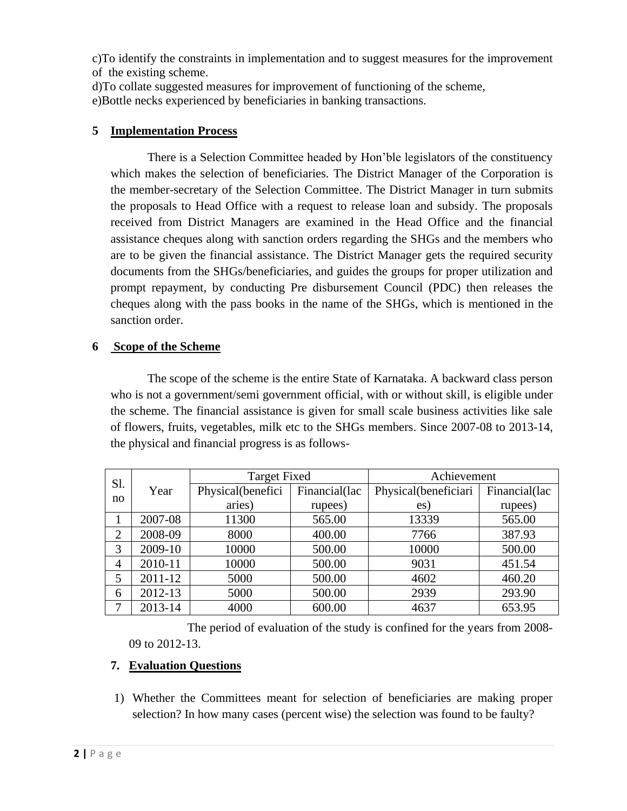c)To identify the constraints in implementation and to suggest measures for the improvement of the existing scheme.

d)To collate suggested measures for improvement of functioning of the scheme,

e)Bottle necks experienced by beneficiaries in banking transactions.

### **5 Implementation Process**

There is a Selection Committee headed by Hon'ble legislators of the constituency which makes the selection of beneficiaries. The District Manager of the Corporation is the member-secretary of the Selection Committee. The District Manager in turn submits the proposals to Head Office with a request to release loan and subsidy. The proposals received from District Managers are examined in the Head Office and the financial assistance cheques along with sanction orders regarding the SHGs and the members who are to be given the financial assistance. The District Manager gets the required security documents from the SHGs/beneficiaries, and guides the groups for proper utilization and prompt repayment, by conducting Pre disbursement Council (PDC) then releases the cheques along with the pass books in the name of the SHGs, which is mentioned in the sanction order.

### **6 Scope of the Scheme**

The scope of the scheme is the entire State of Karnataka. A backward class person who is not a government/semi government official, with or without skill, is eligible under the scheme. The financial assistance is given for small scale business activities like sale of flowers, fruits, vegetables, milk etc to the SHGs members. Since 2007-08 to 2013-14, the physical and financial progress is as follows-

| S1.<br>no | Year    | <b>Target Fixed</b> |               | Achievement          |               |
|-----------|---------|---------------------|---------------|----------------------|---------------|
|           |         | Physical(benefici   | Financial(lac | Physical(beneficiari | Financial(lac |
|           |         | aries)              | rupees)       | es)                  | rupees)       |
|           | 2007-08 | 11300               | 565.00        | 13339                | 565.00        |
| 2         | 2008-09 | 8000                | 400.00        | 7766                 | 387.93        |
| 3         | 2009-10 | 10000               | 500.00        | 10000                | 500.00        |
| 4         | 2010-11 | 10000               | 500.00        | 9031                 | 451.54        |
| 5         | 2011-12 | 5000                | 500.00        | 4602                 | 460.20        |
| 6         | 2012-13 | 5000                | 500.00        | 2939                 | 293.90        |
|           | 2013-14 | 4000                | 600.00        | 4637                 | 653.95        |

The period of evaluation of the study is confined for the years from 2008- 09 to 2012-13.

### **7. Evaluation Questions**

1) Whether the Committees meant for selection of beneficiaries are making proper selection? In how many cases (percent wise) the selection was found to be faulty?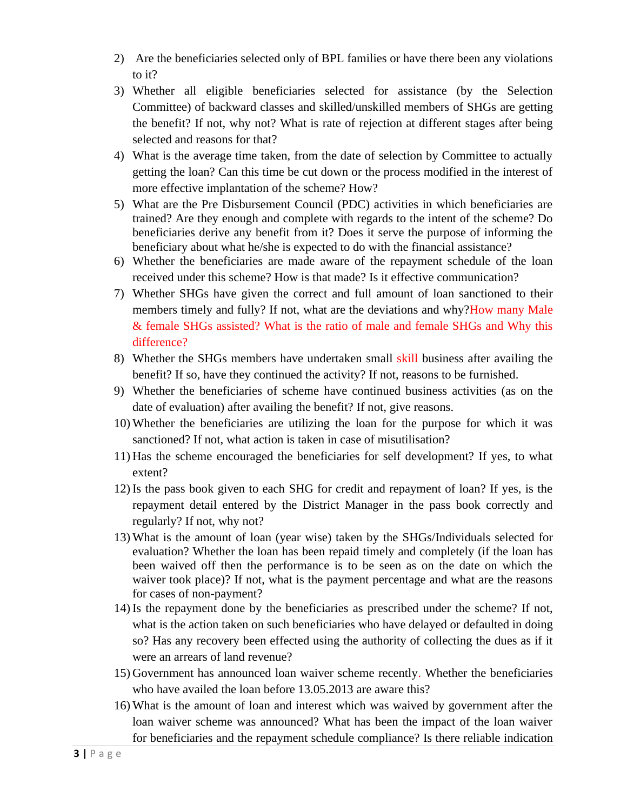- 2) Are the beneficiaries selected only of BPL families or have there been any violations to it?
- 3) Whether all eligible beneficiaries selected for assistance (by the Selection Committee) of backward classes and skilled/unskilled members of SHGs are getting the benefit? If not, why not? What is rate of rejection at different stages after being selected and reasons for that?
- 4) What is the average time taken, from the date of selection by Committee to actually getting the loan? Can this time be cut down or the process modified in the interest of more effective implantation of the scheme? How?
- 5) What are the Pre Disbursement Council (PDC) activities in which beneficiaries are trained? Are they enough and complete with regards to the intent of the scheme? Do beneficiaries derive any benefit from it? Does it serve the purpose of informing the beneficiary about what he/she is expected to do with the financial assistance?
- 6) Whether the beneficiaries are made aware of the repayment schedule of the loan received under this scheme? How is that made? Is it effective communication?
- 7) Whether SHGs have given the correct and full amount of loan sanctioned to their members timely and fully? If not, what are the deviations and why?How many Male & female SHGs assisted? What is the ratio of male and female SHGs and Why this difference?
- 8) Whether the SHGs members have undertaken small skill business after availing the benefit? If so, have they continued the activity? If not, reasons to be furnished.
- 9) Whether the beneficiaries of scheme have continued business activities (as on the date of evaluation) after availing the benefit? If not, give reasons.
- 10) Whether the beneficiaries are utilizing the loan for the purpose for which it was sanctioned? If not, what action is taken in case of misutilisation?
- 11) Has the scheme encouraged the beneficiaries for self development? If yes, to what extent?
- 12) Is the pass book given to each SHG for credit and repayment of loan? If yes, is the repayment detail entered by the District Manager in the pass book correctly and regularly? If not, why not?
- 13) What is the amount of loan (year wise) taken by the SHGs/Individuals selected for evaluation? Whether the loan has been repaid timely and completely (if the loan has been waived off then the performance is to be seen as on the date on which the waiver took place)? If not, what is the payment percentage and what are the reasons for cases of non-payment?
- 14) Is the repayment done by the beneficiaries as prescribed under the scheme? If not, what is the action taken on such beneficiaries who have delayed or defaulted in doing so? Has any recovery been effected using the authority of collecting the dues as if it were an arrears of land revenue?
- 15) Government has announced loan waiver scheme recently. Whether the beneficiaries who have availed the loan before 13.05.2013 are aware this?
- 16) What is the amount of loan and interest which was waived by government after the loan waiver scheme was announced? What has been the impact of the loan waiver for beneficiaries and the repayment schedule compliance? Is there reliable indication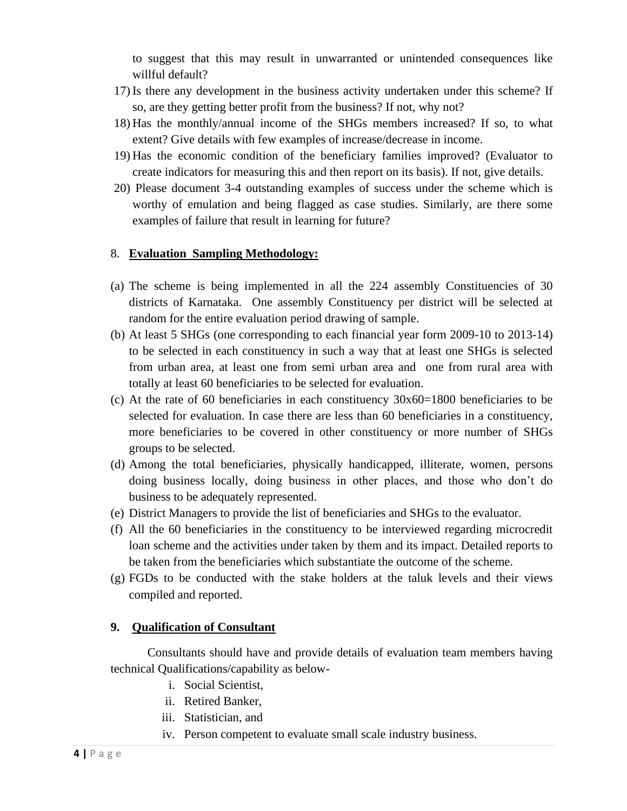to suggest that this may result in unwarranted or unintended consequences like willful default?

- 17) Is there any development in the business activity undertaken under this scheme? If so, are they getting better profit from the business? If not, why not?
- 18) Has the monthly/annual income of the SHGs members increased? If so, to what extent? Give details with few examples of increase/decrease in income.
- 19) Has the economic condition of the beneficiary families improved? (Evaluator to create indicators for measuring this and then report on its basis). If not, give details.
- 20) Please document 3-4 outstanding examples of success under the scheme which is worthy of emulation and being flagged as case studies. Similarly, are there some examples of failure that result in learning for future?

### 8. **Evaluation Sampling Methodology:**

- (a) The scheme is being implemented in all the 224 assembly Constituencies of 30 districts of Karnataka. One assembly Constituency per district will be selected at random for the entire evaluation period drawing of sample.
- (b) At least 5 SHGs (one corresponding to each financial year form 2009-10 to 2013-14) to be selected in each constituency in such a way that at least one SHGs is selected from urban area, at least one from semi urban area and one from rural area with totally at least 60 beneficiaries to be selected for evaluation.
- (c) At the rate of 60 beneficiaries in each constituency 30x60=1800 beneficiaries to be selected for evaluation. In case there are less than 60 beneficiaries in a constituency, more beneficiaries to be covered in other constituency or more number of SHGs groups to be selected.
- (d) Among the total beneficiaries, physically handicapped, illiterate, women, persons doing business locally, doing business in other places, and those who don't do business to be adequately represented.
- (e) District Managers to provide the list of beneficiaries and SHGs to the evaluator.
- (f) All the 60 beneficiaries in the constituency to be interviewed regarding microcredit loan scheme and the activities under taken by them and its impact. Detailed reports to be taken from the beneficiaries which substantiate the outcome of the scheme.
- (g) FGDs to be conducted with the stake holders at the taluk levels and their views compiled and reported.

#### **9. Qualification of Consultant**

Consultants should have and provide details of evaluation team members having technical Qualifications/capability as below-

- i. Social Scientist,
- ii. Retired Banker,
- iii. Statistician, and
- iv. Person competent to evaluate small scale industry business.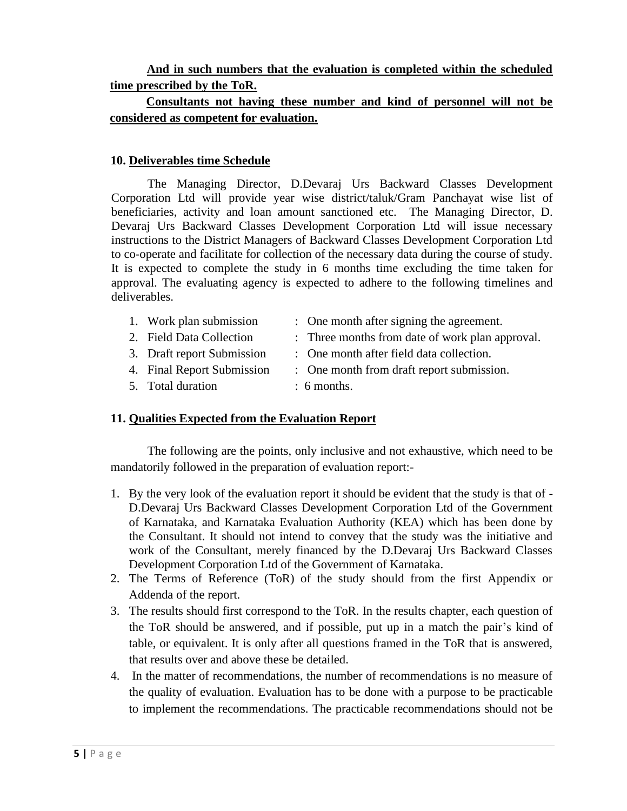# **And in such numbers that the evaluation is completed within the scheduled time prescribed by the ToR.**

# **Consultants not having these number and kind of personnel will not be considered as competent for evaluation.**

#### **10. Deliverables time Schedule**

The Managing Director, D.Devaraj Urs Backward Classes Development Corporation Ltd will provide year wise district/taluk/Gram Panchayat wise list of beneficiaries, activity and loan amount sanctioned etc. The Managing Director, D. Devaraj Urs Backward Classes Development Corporation Ltd will issue necessary instructions to the District Managers of Backward Classes Development Corporation Ltd to co-operate and facilitate for collection of the necessary data during the course of study. It is expected to complete the study in 6 months time excluding the time taken for approval. The evaluating agency is expected to adhere to the following timelines and deliverables.

- 1. Work plan submission : One month after signing the agreement. 2. Field Data Collection : Three months from date of work plan approval. 3. Draft report Submission : One month after field data collection.
- 
- 4. Final Report Submission : One month from draft report submission.
- 5. Total duration : 6 months.

### **11. Qualities Expected from the Evaluation Report**

The following are the points, only inclusive and not exhaustive, which need to be mandatorily followed in the preparation of evaluation report:-

- 1. By the very look of the evaluation report it should be evident that the study is that of D.Devaraj Urs Backward Classes Development Corporation Ltd of the Government of Karnataka, and Karnataka Evaluation Authority (KEA) which has been done by the Consultant. It should not intend to convey that the study was the initiative and work of the Consultant, merely financed by the D.Devaraj Urs Backward Classes Development Corporation Ltd of the Government of Karnataka.
- 2. The Terms of Reference (ToR) of the study should from the first Appendix or Addenda of the report.
- 3. The results should first correspond to the ToR. In the results chapter, each question of the ToR should be answered, and if possible, put up in a match the pair's kind of table, or equivalent. It is only after all questions framed in the ToR that is answered, that results over and above these be detailed.
- 4. In the matter of recommendations, the number of recommendations is no measure of the quality of evaluation. Evaluation has to be done with a purpose to be practicable to implement the recommendations. The practicable recommendations should not be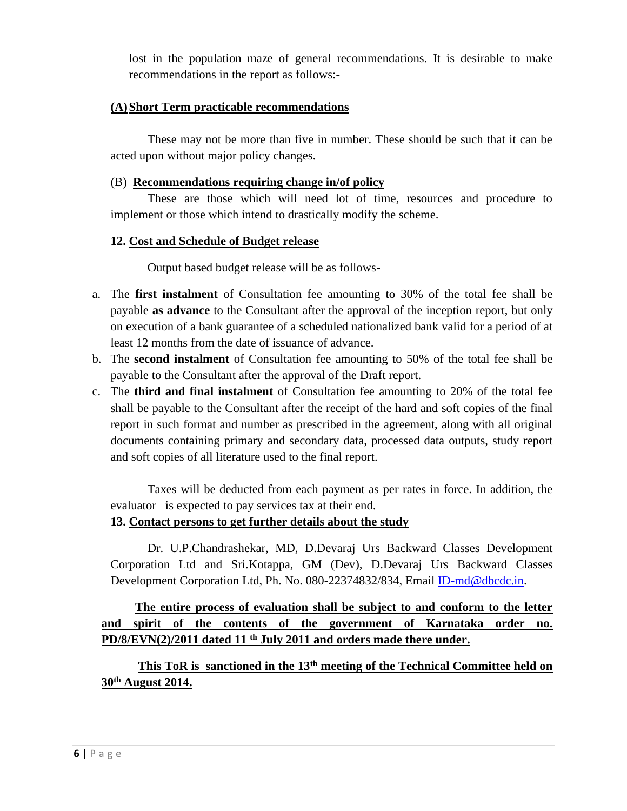lost in the population maze of general recommendations. It is desirable to make recommendations in the report as follows:-

#### **(A)Short Term practicable recommendations**

These may not be more than five in number. These should be such that it can be acted upon without major policy changes.

#### (B) **Recommendations requiring change in/of policy**

These are those which will need lot of time, resources and procedure to implement or those which intend to drastically modify the scheme.

### **12. Cost and Schedule of Budget release**

Output based budget release will be as follows-

- a. The **first instalment** of Consultation fee amounting to 30% of the total fee shall be payable **as advance** to the Consultant after the approval of the inception report, but only on execution of a bank guarantee of a scheduled nationalized bank valid for a period of at least 12 months from the date of issuance of advance.
- b. The **second instalment** of Consultation fee amounting to 50% of the total fee shall be payable to the Consultant after the approval of the Draft report.
- c. The **third and final instalment** of Consultation fee amounting to 20% of the total fee shall be payable to the Consultant after the receipt of the hard and soft copies of the final report in such format and number as prescribed in the agreement, along with all original documents containing primary and secondary data, processed data outputs, study report and soft copies of all literature used to the final report.

Taxes will be deducted from each payment as per rates in force. In addition, the evaluator is expected to pay services tax at their end.

### **13. Contact persons to get further details about the study**

Dr. U.P.Chandrashekar, MD, D.Devaraj Urs Backward Classes Development Corporation Ltd and Sri.Kotappa, GM (Dev), D.Devaraj Urs Backward Classes Development Corporation Ltd, Ph. No. 080-22374832/834, Email [ID-md@dbcdc.in.](mailto:ID-md@dbcdc.in)

# **The entire process of evaluation shall be subject to and conform to the letter and spirit of the contents of the government of Karnataka order no. PD/8/EVN(2)/2011 dated 11 th July 2011 and orders made there under.**

# **This ToR is sanctioned in the 13th meeting of the Technical Committee held on 30th August 2014.**